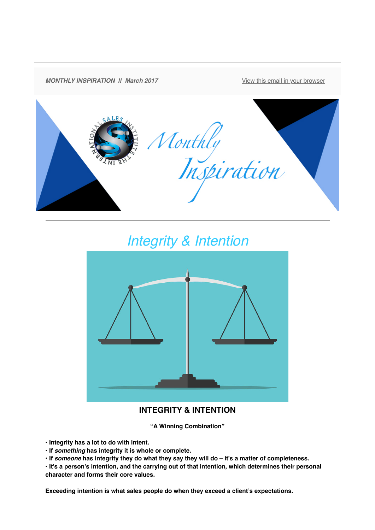

## *Integrity & Intention*



## **INTEGRITY & INTENTION**

**"A Winning Combination"**

**• Integrity has a lot to do with intent.**

- **If** *something* **has integrity it is whole or complete.**
- **If** *someone* **has integrity they do what they say they will do it's a matter of completeness.**

**• It's a person's intention, and the carrying out of that intention, which determines their personal character and forms their core values.**

**Exceeding intention is what sales people do when they exceed a client's expectations.**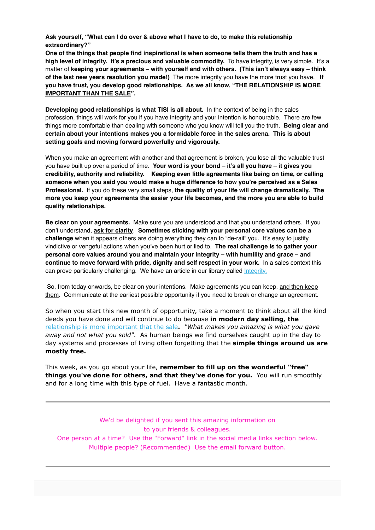**Ask yourself, "What can I do over & above what I have to do, to make this relationship extraordinary?"**

**One of the things that people find inspirational is when someone tells them the truth and has a high level of integrity. It's a precious and valuable commodity.** To have integrity, is very simple. It's a matter of **keeping your agreements – with yourself and with others. (This isn't always easy – think of the last new years resolution you made!)** The more integrity you have the more trust you have. **If you have trust, you develop good relationships. As we all know, "THE RELATIONSHIP IS MORE IMPORTANT THAN THE SALE".**

**Developing good relationships is what TISI is all about.** In the context of being in the sales profession, things will work for you if you have integrity and your intention is honourable. There are few things more comfortable than dealing with someone who you know will tell you the truth. **Being clear and certain about your intentions makes you a formidable force in the sales arena. This is about setting goals and moving forward powerfully and vigorously.** 

When you make an agreement with another and that agreement is broken, you lose all the valuable trust you have built up over a period of time. **Your word is your bond – it's all you have – it gives you credibility, authority and reliability. Keeping even little agreements like being on time, or calling someone when you said you would make a huge difference to how you're perceived as a Sales Professional.** If you do these very small steps, **the quality of your life will change dramatically. The more you keep your agreements the easier your life becomes, and the more you are able to build quality relationships.**

**Be clear on your agreements.** Make sure you are understood and that you understand others. If you don't understand, **ask for clarity**. **Sometimes sticking with your personal core values can be a challenge** when it appears others are doing everything they can to "de-rail" you. It's easy to justify vindictive or vengeful actions when you've been hurt or lied to. **The real challenge is to gather your personal core values around you and maintain your integrity – with humility and grace – and continue to move forward with pride, dignity and self respect in your work.** In a sales context this can prove particularly challenging. We have an article in our library called *Integrity*.

 So, from today onwards, be clear on your intentions. Make agreements you can keep, and then keep them. Communicate at the earliest possible opportunity if you need to break or change an agreement.

So when you start this new month of opportunity, take a moment to think about all the kind deeds you have done and will continue to do because **in modern day selling, the** [relationship is more important that the sale](http://theinternationalsalesinstitute.us11.list-manage.com/track/click?u=933b80e7a2e18bb216f31e81e&id=bb5973e8b1&e=9f87e78b41)**.** *"What makes you amazing is what you gave away and not what you sold"*. As human beings we find ourselves caught up in the day to day systems and processes of living often forgetting that the **simple things around us are mostly free.** 

This week, as you go about your life, **remember to fill up on the wonderful "free" things you've done for others, and that they've done for you.** You will run smoothly and for a long time with this type of fuel. Have a fantastic month.

We'd be delighted if you sent this amazing information on to your friends & colleagues. One person at a time? Use the "Forward" link in the social media links section below. Multiple people? (Recommended) Use the email forward button.